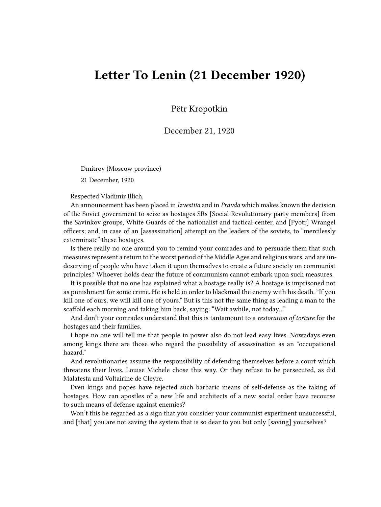## **Letter To Lenin (21 December 1920)**

Pëtr Kropotkin

December 21, 1920

Dmitrov (Moscow province)

21 December, 1920

Respected Vladimir Illich,

An announcement has been placed in *Izvestiia* and in *Pravda* which makes known the decision of the Soviet government to seize as hostages SRs [Social Revolutionary party members] from the Savinkov groups, White Guards of the nationalist and tactical center, and [Pyotr] Wrangel officers; and, in case of an [assassination] attempt on the leaders of the soviets, to "mercilessly exterminate" these hostages.

Is there really no one around you to remind your comrades and to persuade them that such measures represent a return to the worst period of the Middle Ages and religious wars, and are undeserving of people who have taken it upon themselves to create a future society on communist principles? Whoever holds dear the future of communism cannot embark upon such measures.

It is possible that no one has explained what a hostage really is? A hostage is imprisoned not as punishment for some crime. He is held in order to blackmail the enemy with his death. "If you kill one of ours, we will kill one of yours." But is this not the same thing as leading a man to the scaffold each morning and taking him back, saying: "Wait awhile, not today…"

And don't your comrades understand that this is tantamount to a *restoration of torture* for the hostages and their families.

I hope no one will tell me that people in power also do not lead easy lives. Nowadays even among kings there are those who regard the possibility of assassination as an "occupational hazard."

And revolutionaries assume the responsibility of defending themselves before a court which threatens their lives. Louise Michele chose this way. Or they refuse to be persecuted, as did Malatesta and Voltairine de Cleyre.

Even kings and popes have rejected such barbaric means of self-defense as the taking of hostages. How can apostles of a new life and architects of a new social order have recourse to such means of defense against enemies?

Won't this be regarded as a sign that you consider your communist experiment unsuccessful, and [that] you are not saving the system that is so dear to you but only [saving] yourselves?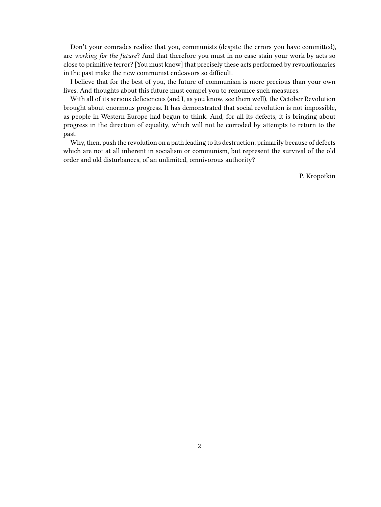Don't your comrades realize that you, communists (despite the errors you have committed), are *working for the future*? And that therefore you must in no case stain your work by acts so close to primitive terror? [You must know] that precisely these acts performed by revolutionaries in the past make the new communist endeavors so difficult.

I believe that for the best of you, the future of communism is more precious than your own lives. And thoughts about this future must compel you to renounce such measures.

With all of its serious deficiencies (and I, as you know, see them well), the October Revolution brought about enormous progress. It has demonstrated that social revolution is not impossible, as people in Western Europe had begun to think. And, for all its defects, it is bringing about progress in the direction of equality, which will not be corroded by attempts to return to the past.

Why, then, push the revolution on a path leading to its destruction, primarily because of defects which are not at all inherent in socialism or communism, but represent the survival of the old order and old disturbances, of an unlimited, omnivorous authority?

P. Kropotkin